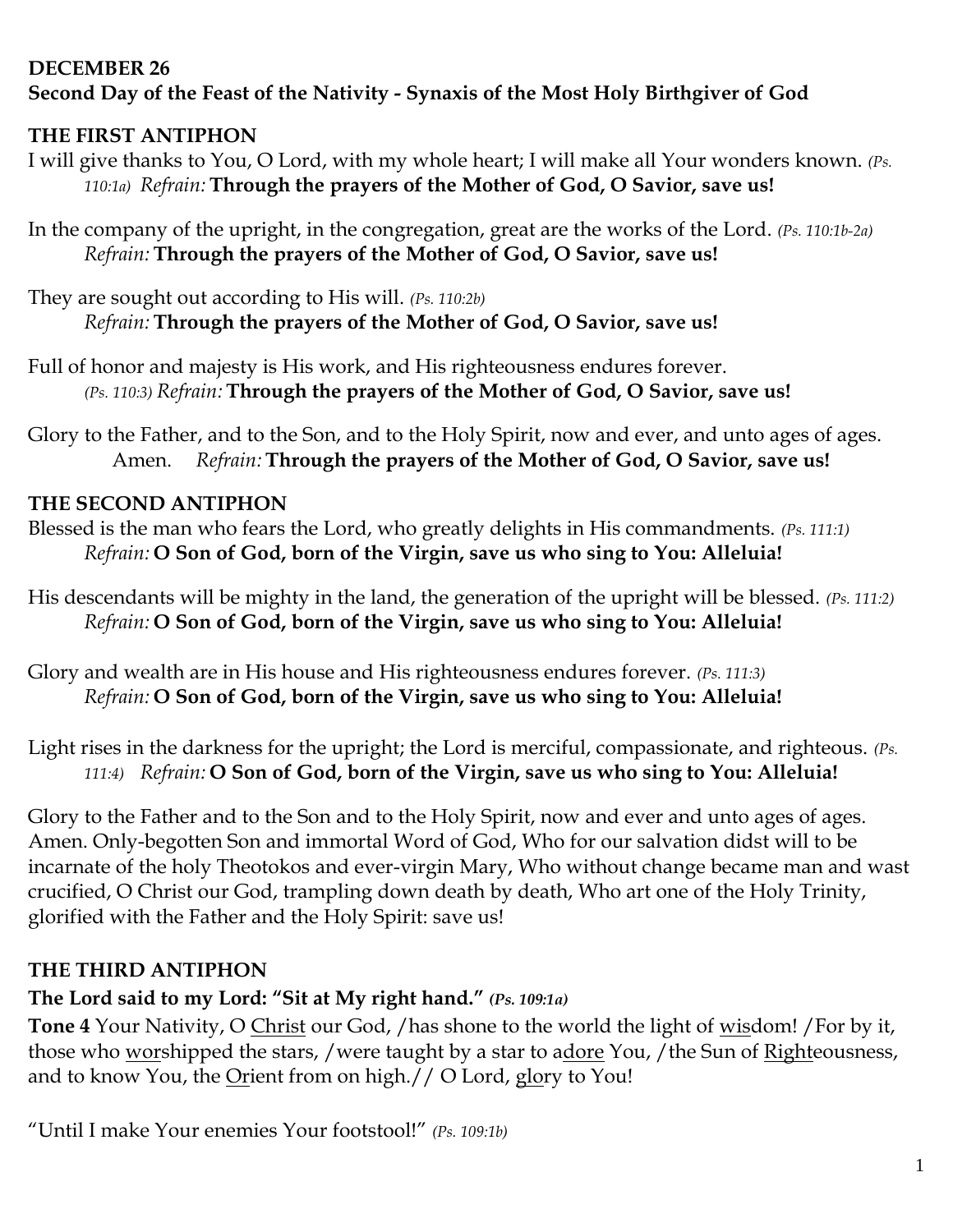#### **DECEMBER 26 Second Day of the Feast of the Nativity - Synaxis of the Most Holy Birthgiver of God**

## **THE FIRST ANTIPHON**

I will give thanks to You, O Lord, with my whole heart; I will make all Your wonders known. *(Ps. 110:1a) Refrain:* **Through the prayers of the Mother of God, O Savior, save us!**

In the company of the upright, in the congregation, great are the works of the Lord. *(Ps. 110:1b-2a) Refrain:* **Through the prayers of the Mother of God, O Savior, save us!**

They are sought out according to His will. *(Ps. 110:2b) Refrain:* **Through the prayers of the Mother of God, O Savior, save us!**

- Full of honor and majesty is His work, and His righteousness endures forever. *(Ps. 110:3) Refrain:* **Through the prayers of the Mother of God, O Savior, save us!**
- Glory to the Father, and to the Son, and to the Holy Spirit, now and ever, and unto ages of ages. Amen. *Refrain:* **Through the prayers of the Mother of God, O Savior, save us!**

## **THE SECOND ANTIPHON**

- Blessed is the man who fears the Lord, who greatly delights in His commandments. *(Ps. 111:1) Refrain:* **O Son of God, born of the Virgin, save us who sing to You: Alleluia!**
- His descendants will be mighty in the land, the generation of the upright will be blessed. *(Ps. 111:2) Refrain:* **O Son of God, born of the Virgin, save us who sing to You: Alleluia!**
- Glory and wealth are in His house and His righteousness endures forever. *(Ps. 111:3) Refrain:* **O Son of God, born of the Virgin, save us who sing to You: Alleluia!**

Light rises in the darkness for the upright; the Lord is merciful, compassionate, and righteous. *(Ps. 111:4) Refrain:* **O Son of God, born of the Virgin, save us who sing to You: Alleluia!**

Glory to the Father and to the Son and to the Holy Spirit, now and ever and unto ages of ages. Amen. Only-begotten Son and immortal Word of God, Who for our salvation didst will to be incarnate of the holy Theotokos and ever-virgin Mary, Who without change became man and wast crucified, O Christ our God, trampling down death by death, Who art one of the Holy Trinity, glorified with the Father and the Holy Spirit: save us!

# **THE THIRD ANTIPHON**

## **The Lord said to my Lord: "Sit at My right hand."** *(Ps. 109:1a)*

**Tone 4** Your Nativity, O Christ our God, /has shone to the world the light of wisdom! /For by it, those who worshipped the stars, /were taught by a star to adore You, /the Sun of Righteousness, and to know You, the Orient from on high.// O Lord, glory to You!

"Until I make Your enemies Your footstool!" *(Ps. 109:1b)*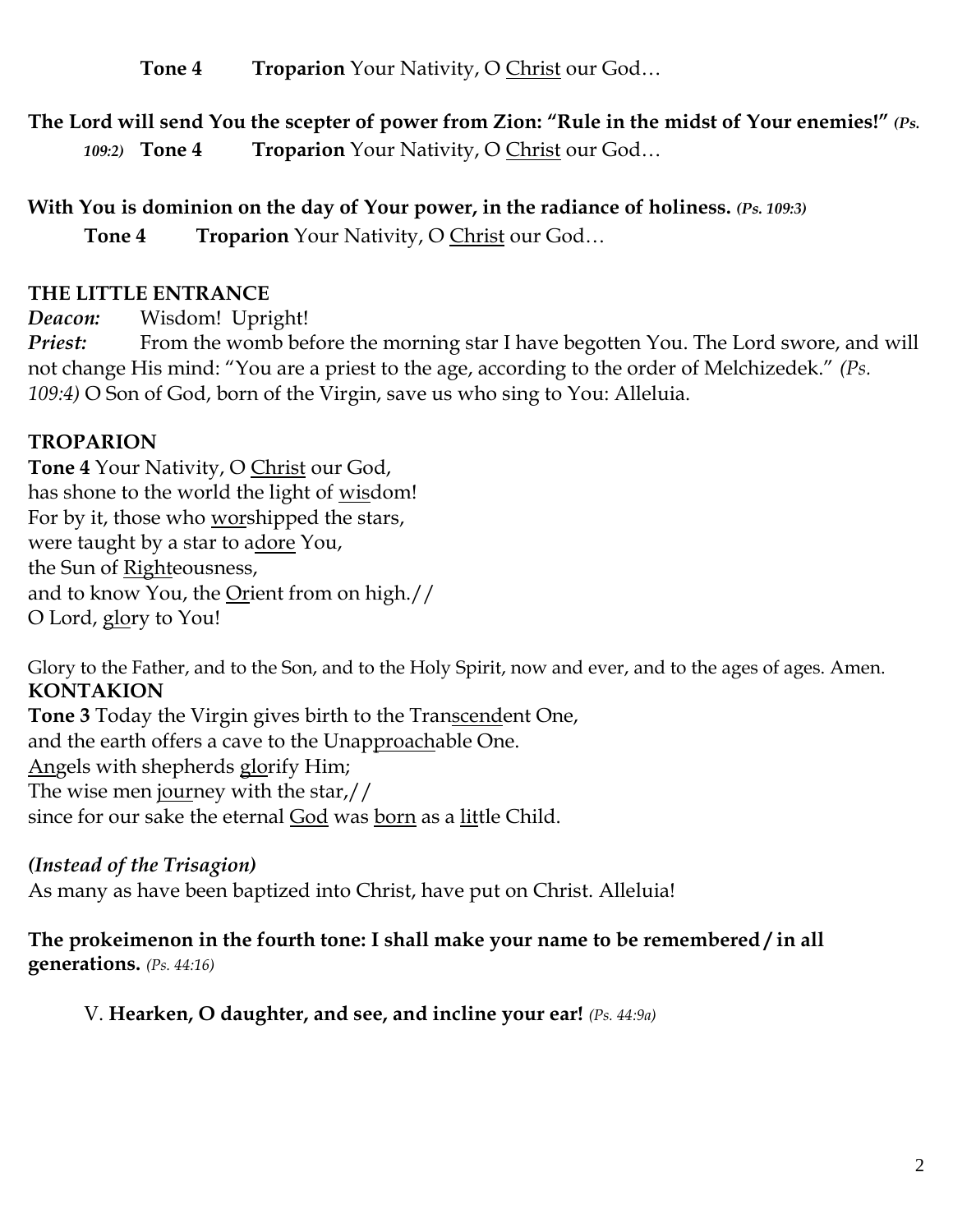**Tone 4 Troparion** Your Nativity, O Christ our God…

**The Lord will send You the scepter of power from Zion: "Rule in the midst of Your enemies!"** *(Ps. 109:2)* **Tone 4 Troparion** Your Nativity, O Christ our God…

**With You is dominion on the day of Your power, in the radiance of holiness.** *(Ps. 109:3)* **Tone 4 Troparion** Your Nativity, O Christ our God…

#### **THE LITTLE ENTRANCE**

*Deacon:* Wisdom! Upright!

*Priest:* From the womb before the morning star I have begotten You. The Lord swore, and will not change His mind: "You are a priest to the age, according to the order of Melchizedek." *(Ps. 109:4)* O Son of God, born of the Virgin, save us who sing to You: Alleluia.

## **TROPARION**

**Tone 4** Your Nativity, O Christ our God, has shone to the world the light of wisdom! For by it, those who worshipped the stars, were taught by a star to adore You, the Sun of Righteousness, and to know You, the Orient from on high.// O Lord, glory to You!

Glory to the Father, and to the Son, and to the Holy Spirit, now and ever, and to the ages of ages. Amen. **KONTAKION**

**Tone 3** Today the Virgin gives birth to the Transcendent One, and the earth offers a cave to the Unapproachable One. Angels with shepherds glorify Him; The wise men journey with the star,// since for our sake the eternal God was born as a little Child.

## *(Instead of the Trisagion)*

As many as have been baptized into Christ, have put on Christ. Alleluia!

**The prokeimenon in the fourth tone: I shall make your name to be remembered / in all generations.** *(Ps. 44:16)*

V. **Hearken, O daughter, and see, and incline your ear!** *(Ps. 44:9a)*